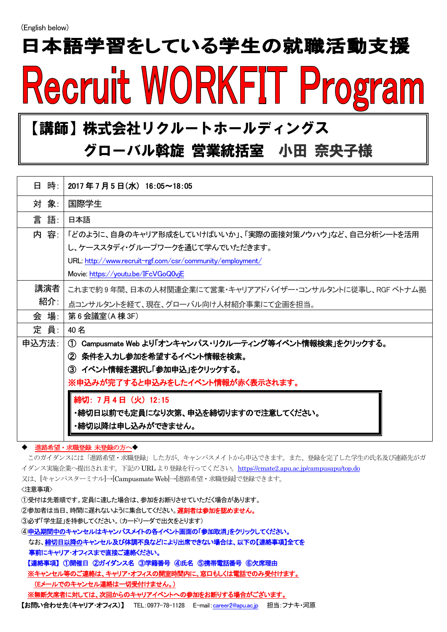# 日本語学習をしている学生の就職活動支援 Recruit WORKFIT Program

#### 【講師】株式会社リクルートホールディングス

#### グローバル斡旋 営業統括室 小田 奈央子様

| 日 時: 1                                                                         | 2017年7月5日(水) 16:05~18:05                                            |
|--------------------------------------------------------------------------------|---------------------------------------------------------------------|
| 対 象:                                                                           | 国際学生                                                                |
| 言語:                                                                            | 日本語                                                                 |
| 内 容:                                                                           | 「どのように、自身のキャリア形成をしていけばいいか」、「実際の面接対策ノウハウ」など、自己分析シートを活用               |
|                                                                                | し、ケーススタディ・グループワークを通じて学んでいただきます。                                     |
|                                                                                | URL: http://www.recruit-rgf.com/csr/community/employment/           |
|                                                                                | Movie: https://youtu.be/IFcVGoQ0vjE                                 |
| 講演者                                                                            | これまで約9年間、日本の人材関連企業にて営業・キャリアアドバイザー・コンサルタントに従事し、RGF ベトナム拠             |
| 紹介:                                                                            | 点コンサルタントを経て、現在、グローバル向け人材紹介事業にて企画を担当。                                |
| 会 場:                                                                           | 第6会議室(A 棟 3F)                                                       |
| 定 員:                                                                           | 40名                                                                 |
| 申込方法:                                                                          | Campusmate Web より「オンキャンパス・リクルーティング等イベント情報検索」をクリックする。<br>$\bigoplus$ |
|                                                                                | ② 条件を入力し参加を希望するイベント情報を検索。                                           |
|                                                                                | ③ イベント情報を選択し「参加申込」をクリックする。                                          |
|                                                                                | ※申込みが完了すると申込みをしたイベント情報が赤く表示されます。                                    |
|                                                                                | 締切: 7月4日 (火) 12:15                                                  |
|                                                                                | ・締切日以前でも定員になり次第、申込を締切りますので注意してください。                                 |
|                                                                                | ・締切以降は申し込みができません。                                                   |
|                                                                                |                                                                     |
| ◆ 進路希望・求職登録 未登録の方へ◆                                                            |                                                                     |
| このガイダンスには「進路希望・求職登録」した方が、キャンパスメイトから申込できます。また、登録を完了した学生の氏名及び連絡先がガ               |                                                                     |
| イダンス実施企業へ提出されます。下記の URL より登録を行ってください。https://cmate2.apu.ac.jp/campusapu/top.do |                                                                     |
| 又は、[キャンパスターミナル]→[Campusmate Web]→[進路希望・求職登録]で登録できます。                           |                                                                     |
| 〈注意事項〉                                                                         |                                                                     |

①受付は先着順です。定員に達した場合は、参加をお断りさせていただく場合があります。

②参加者は当日、時間に遅れないように集合してください。遅刻者は参加を認めません。

③必ず「学生証」を持参してください。(カードリーダで出欠をとります)

④申込期間中のキャンセルはキャンパスメイトの各イベント画面の「参加取消」をクリックしてください。

なお、締切日以降のキャンセル及び体調不良などにより出席できない場合は、以下の【連絡事項】全てを 事前にキャリア・オフィスまで直接ご連絡ください。

【連絡事項】 ①開催日 ②ガイダンス名 ③学籍番号 ④氏名 ⑤携帯電話番号 ⑥欠席理由

※キャンセル等のご連絡は、キャリア・オフィスの開室時間内に、窓口もしくは電話でのみ受付けます。 (Eメールでのキャンセル連絡は一切受付けません。)

※無断欠席者に対しては、次回からのキャリアイベントへの参加をお断りする場合がございます。

【お問い合わせ先(キャリア・オフィス)】 TEL:0977-78-1128 E-mail:[career2@apu.ac.jp](mailto:career2@apu.ac.jp) 担当:フナキ・河原